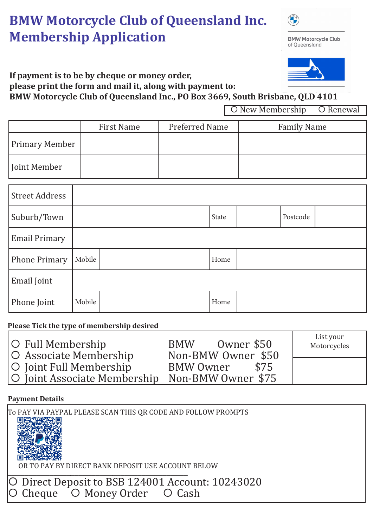# **BMW Motorcycle Club of Queensland Inc. Membership Application**

**BMW Motorcycle Club** of Queensland



#### **If payment is to be by cheque or money order, please print the form and mail it, along with payment to:**

**BMW Motorcycle Club of Queensland Inc., PO Box 3669, South Brisbane, QLD 4101**

O New Membership O Renewal

|                | <b>First Name</b> | Preferred Name | <b>Family Name</b> |
|----------------|-------------------|----------------|--------------------|
| Primary Member |                   |                |                    |
| Joint Member   |                   |                |                    |

| <b>Street Address</b> |        |       |          |  |
|-----------------------|--------|-------|----------|--|
| Suburb/Town           |        | State | Postcode |  |
| <b>Email Primary</b>  |        |       |          |  |
| <b>Phone Primary</b>  | Mobile | Home  |          |  |
| Email Joint           |        |       |          |  |
| Phone Joint           | Mobile | Home  |          |  |

# **Please Tick the type of membership desired**

| O Full Membership                               | Owner \$50<br><b>BMW</b> | List your<br>Motorcycles |
|-------------------------------------------------|--------------------------|--------------------------|
| O Associate Membership                          | Non-BMW Owner \$50       |                          |
| O Joint Full Membership                         | \$75<br>BMW Owner        |                          |
| O Joint Associate Membership Non-BMW Owner \$75 |                          |                          |

# **Payment Details**

\_\_\_\_\_\_\_\_\_\_\_\_\_\_\_\_\_\_\_\_\_\_\_\_\_\_\_\_\_\_\_\_\_\_\_\_\_\_\_\_\_\_\_ O Direct Deposit to BSB 124001 Account: 10243020 Cheque O Money Order O Cash To PAY VIA PAYPAL PLEASE SCAN THIS QR CODE AND FOLLOW PROMPTS<br>| 回德念語文庫 OR TO PAY BY DIRECT BANK DEPOSIT USE ACCOUNT BELOW